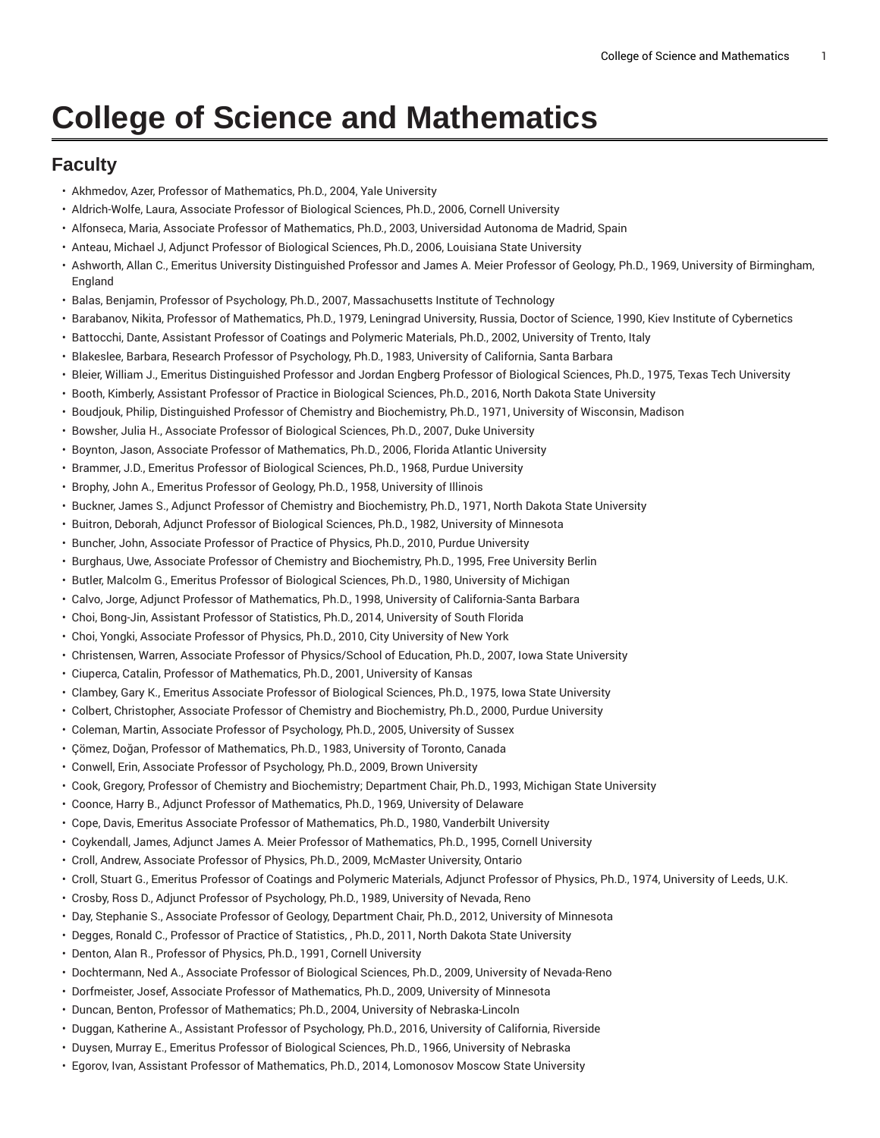## **College of Science and Mathematics**

## **Faculty**

- Akhmedov, Azer, Professor of Mathematics, Ph.D., 2004, Yale University
- Aldrich-Wolfe, Laura, Associate Professor of Biological Sciences, Ph.D., 2006, Cornell University
- Alfonseca, Maria, Associate Professor of Mathematics, Ph.D., 2003, Universidad Autonoma de Madrid, Spain
- Anteau, Michael J, Adjunct Professor of Biological Sciences, Ph.D., 2006, Louisiana State University
- Ashworth, Allan C., Emeritus University Distinguished Professor and James A. Meier Professor of Geology, Ph.D., 1969, University of Birmingham, England
- Balas, Benjamin, Professor of Psychology, Ph.D., 2007, Massachusetts Institute of Technology
- Barabanov, Nikita, Professor of Mathematics, Ph.D., 1979, Leningrad University, Russia, Doctor of Science, 1990, Kiev Institute of Cybernetics
- Battocchi, Dante, Assistant Professor of Coatings and Polymeric Materials, Ph.D., 2002, University of Trento, Italy
- Blakeslee, Barbara, Research Professor of Psychology, Ph.D., 1983, University of California, Santa Barbara
- Bleier, William J., Emeritus Distinguished Professor and Jordan Engberg Professor of Biological Sciences, Ph.D., 1975, Texas Tech University
- Booth, Kimberly, Assistant Professor of Practice in Biological Sciences, Ph.D., 2016, North Dakota State University
- Boudjouk, Philip, Distinguished Professor of Chemistry and Biochemistry, Ph.D., 1971, University of Wisconsin, Madison
- Bowsher, Julia H., Associate Professor of Biological Sciences, Ph.D., 2007, Duke University
- Boynton, Jason, Associate Professor of Mathematics, Ph.D., 2006, Florida Atlantic University
- Brammer, J.D., Emeritus Professor of Biological Sciences, Ph.D., 1968, Purdue University
- Brophy, John A., Emeritus Professor of Geology, Ph.D., 1958, University of Illinois
- Buckner, James S., Adjunct Professor of Chemistry and Biochemistry, Ph.D., 1971, North Dakota State University
- Buitron, Deborah, Adjunct Professor of Biological Sciences, Ph.D., 1982, University of Minnesota
- Buncher, John, Associate Professor of Practice of Physics, Ph.D., 2010, Purdue University
- Burghaus, Uwe, Associate Professor of Chemistry and Biochemistry, Ph.D., 1995, Free University Berlin
- Butler, Malcolm G., Emeritus Professor of Biological Sciences, Ph.D., 1980, University of Michigan
- Calvo, Jorge, Adjunct Professor of Mathematics, Ph.D., 1998, University of California-Santa Barbara
- Choi, Bong-Jin, Assistant Professor of Statistics, Ph.D., 2014, University of South Florida
- Choi, Yongki, Associate Professor of Physics, Ph.D., 2010, City University of New York
- Christensen, Warren, Associate Professor of Physics/School of Education, Ph.D., 2007, Iowa State University
- Ciuperca, Catalin, Professor of Mathematics, Ph.D., 2001, University of Kansas
- Clambey, Gary K., Emeritus Associate Professor of Biological Sciences, Ph.D., 1975, Iowa State University
- Colbert, Christopher, Associate Professor of Chemistry and Biochemistry, Ph.D., 2000, Purdue University
- Coleman, Martin, Associate Professor of Psychology, Ph.D., 2005, University of Sussex
- Çömez, Doğan, Professor of Mathematics, Ph.D., 1983, University of Toronto, Canada
- Conwell, Erin, Associate Professor of Psychology, Ph.D., 2009, Brown University
- Cook, Gregory, Professor of Chemistry and Biochemistry; Department Chair, Ph.D., 1993, Michigan State University
- Coonce, Harry B., Adjunct Professor of Mathematics, Ph.D., 1969, University of Delaware
- Cope, Davis, Emeritus Associate Professor of Mathematics, Ph.D., 1980, Vanderbilt University
- Coykendall, James, Adjunct James A. Meier Professor of Mathematics, Ph.D., 1995, Cornell University
- Croll, Andrew, Associate Professor of Physics, Ph.D., 2009, McMaster University, Ontario
- Croll, Stuart G., Emeritus Professor of Coatings and Polymeric Materials, Adjunct Professor of Physics, Ph.D., 1974, University of Leeds, U.K.
- Crosby, Ross D., Adjunct Professor of Psychology, Ph.D., 1989, University of Nevada, Reno
- Day, Stephanie S., Associate Professor of Geology, Department Chair, Ph.D., 2012, University of Minnesota
- Degges, Ronald C., Professor of Practice of Statistics, , Ph.D., 2011, North Dakota State University
- Denton, Alan R., Professor of Physics, Ph.D., 1991, Cornell University
- Dochtermann, Ned A., Associate Professor of Biological Sciences, Ph.D., 2009, University of Nevada-Reno
- Dorfmeister, Josef, Associate Professor of Mathematics, Ph.D., 2009, University of Minnesota
- Duncan, Benton, Professor of Mathematics; Ph.D., 2004, University of Nebraska-Lincoln
- Duggan, Katherine A., Assistant Professor of Psychology, Ph.D., 2016, University of California, Riverside
- Duysen, Murray E., Emeritus Professor of Biological Sciences, Ph.D., 1966, University of Nebraska
- Egorov, Ivan, Assistant Professor of Mathematics, Ph.D., 2014, Lomonosov Moscow State University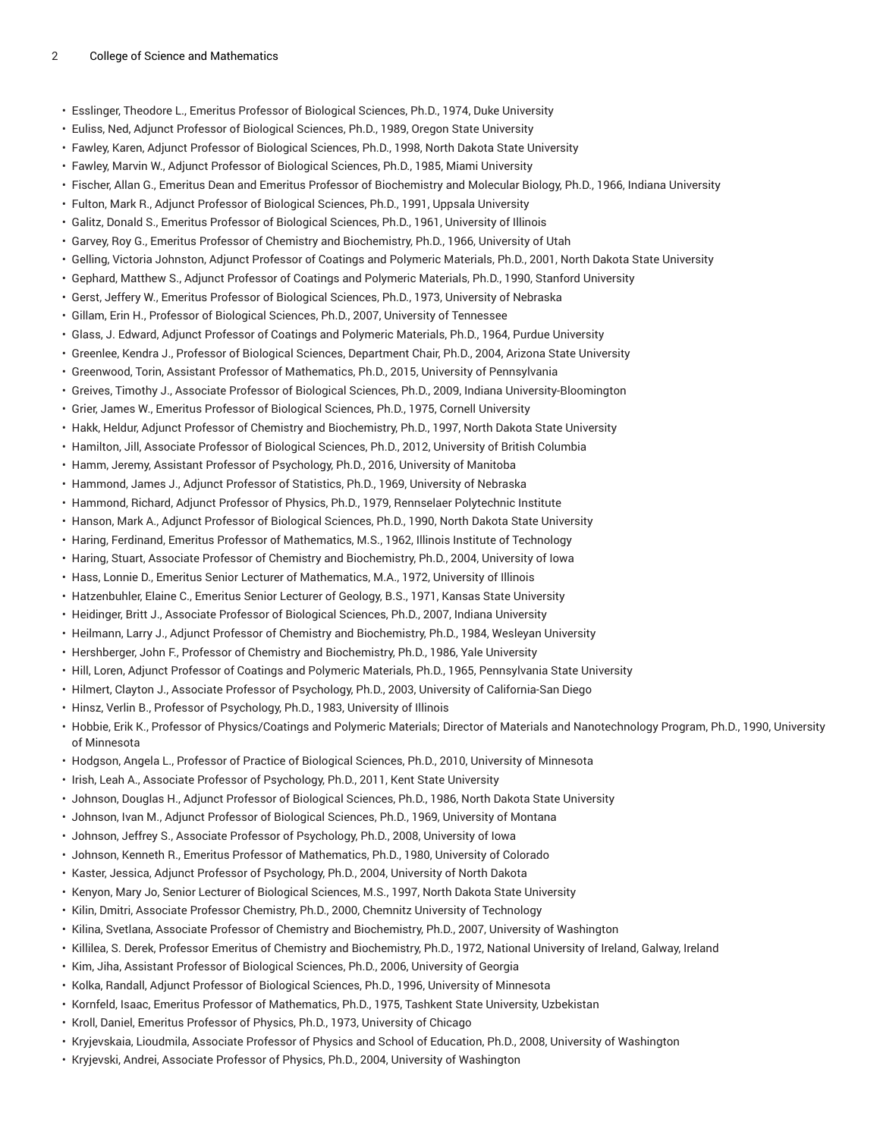- Esslinger, Theodore L., Emeritus Professor of Biological Sciences, Ph.D., 1974, Duke University
- Euliss, Ned, Adjunct Professor of Biological Sciences, Ph.D., 1989, Oregon State University
- Fawley, Karen, Adjunct Professor of Biological Sciences, Ph.D., 1998, North Dakota State University
- Fawley, Marvin W., Adjunct Professor of Biological Sciences, Ph.D., 1985, Miami University
- Fischer, Allan G., Emeritus Dean and Emeritus Professor of Biochemistry and Molecular Biology, Ph.D., 1966, Indiana University
- Fulton, Mark R., Adjunct Professor of Biological Sciences, Ph.D., 1991, Uppsala University
- Galitz, Donald S., Emeritus Professor of Biological Sciences, Ph.D., 1961, University of Illinois
- Garvey, Roy G., Emeritus Professor of Chemistry and Biochemistry, Ph.D., 1966, University of Utah
- Gelling, Victoria Johnston, Adjunct Professor of Coatings and Polymeric Materials, Ph.D., 2001, North Dakota State University
- Gephard, Matthew S., Adjunct Professor of Coatings and Polymeric Materials, Ph.D., 1990, Stanford University
- Gerst, Jeffery W., Emeritus Professor of Biological Sciences, Ph.D., 1973, University of Nebraska
- Gillam, Erin H., Professor of Biological Sciences, Ph.D., 2007, University of Tennessee
- Glass, J. Edward, Adjunct Professor of Coatings and Polymeric Materials, Ph.D., 1964, Purdue University
- Greenlee, Kendra J., Professor of Biological Sciences, Department Chair, Ph.D., 2004, Arizona State University
- Greenwood, Torin, Assistant Professor of Mathematics, Ph.D., 2015, University of Pennsylvania
- Greives, Timothy J., Associate Professor of Biological Sciences, Ph.D., 2009, Indiana University-Bloomington
- Grier, James W., Emeritus Professor of Biological Sciences, Ph.D., 1975, Cornell University
- Hakk, Heldur, Adjunct Professor of Chemistry and Biochemistry, Ph.D., 1997, North Dakota State University
- Hamilton, Jill, Associate Professor of Biological Sciences, Ph.D., 2012, University of British Columbia
- Hamm, Jeremy, Assistant Professor of Psychology, Ph.D., 2016, University of Manitoba
- Hammond, James J., Adjunct Professor of Statistics, Ph.D., 1969, University of Nebraska
- Hammond, Richard, Adjunct Professor of Physics, Ph.D., 1979, Rennselaer Polytechnic Institute
- Hanson, Mark A., Adjunct Professor of Biological Sciences, Ph.D., 1990, North Dakota State University
- Haring, Ferdinand, Emeritus Professor of Mathematics, M.S., 1962, Illinois Institute of Technology
- Haring, Stuart, Associate Professor of Chemistry and Biochemistry, Ph.D., 2004, University of Iowa
- Hass, Lonnie D., Emeritus Senior Lecturer of Mathematics, M.A., 1972, University of Illinois
- Hatzenbuhler, Elaine C., Emeritus Senior Lecturer of Geology, B.S., 1971, Kansas State University
- Heidinger, Britt J., Associate Professor of Biological Sciences, Ph.D., 2007, Indiana University
- Heilmann, Larry J., Adjunct Professor of Chemistry and Biochemistry, Ph.D., 1984, Wesleyan University
- Hershberger, John F., Professor of Chemistry and Biochemistry, Ph.D., 1986, Yale University
- Hill, Loren, Adjunct Professor of Coatings and Polymeric Materials, Ph.D., 1965, Pennsylvania State University
- Hilmert, Clayton J., Associate Professor of Psychology, Ph.D., 2003, University of California-San Diego
- Hinsz, Verlin B., Professor of Psychology, Ph.D., 1983, University of Illinois
- Hobbie, Erik K., Professor of Physics/Coatings and Polymeric Materials; Director of Materials and Nanotechnology Program, Ph.D., 1990, University of Minnesota
- Hodgson, Angela L., Professor of Practice of Biological Sciences, Ph.D., 2010, University of Minnesota
- Irish, Leah A., Associate Professor of Psychology, Ph.D., 2011, Kent State University
- Johnson, Douglas H., Adjunct Professor of Biological Sciences, Ph.D., 1986, North Dakota State University
- Johnson, Ivan M., Adjunct Professor of Biological Sciences, Ph.D., 1969, University of Montana
- Johnson, Jeffrey S., Associate Professor of Psychology, Ph.D., 2008, University of Iowa
- Johnson, Kenneth R., Emeritus Professor of Mathematics, Ph.D., 1980, University of Colorado
- Kaster, Jessica, Adjunct Professor of Psychology, Ph.D., 2004, University of North Dakota
- Kenyon, Mary Jo, Senior Lecturer of Biological Sciences, M.S., 1997, North Dakota State University
- Kilin, Dmitri, Associate Professor Chemistry, Ph.D., 2000, Chemnitz University of Technology
- Kilina, Svetlana, Associate Professor of Chemistry and Biochemistry, Ph.D., 2007, University of Washington
- Killilea, S. Derek, Professor Emeritus of Chemistry and Biochemistry, Ph.D., 1972, National University of Ireland, Galway, Ireland
- Kim, Jiha, Assistant Professor of Biological Sciences, Ph.D., 2006, University of Georgia
- Kolka, Randall, Adjunct Professor of Biological Sciences, Ph.D., 1996, University of Minnesota
- Kornfeld, Isaac, Emeritus Professor of Mathematics, Ph.D., 1975, Tashkent State University, Uzbekistan
- Kroll, Daniel, Emeritus Professor of Physics, Ph.D., 1973, University of Chicago
- Kryjevskaia, Lioudmila, Associate Professor of Physics and School of Education, Ph.D., 2008, University of Washington
- Kryjevski, Andrei, Associate Professor of Physics, Ph.D., 2004, University of Washington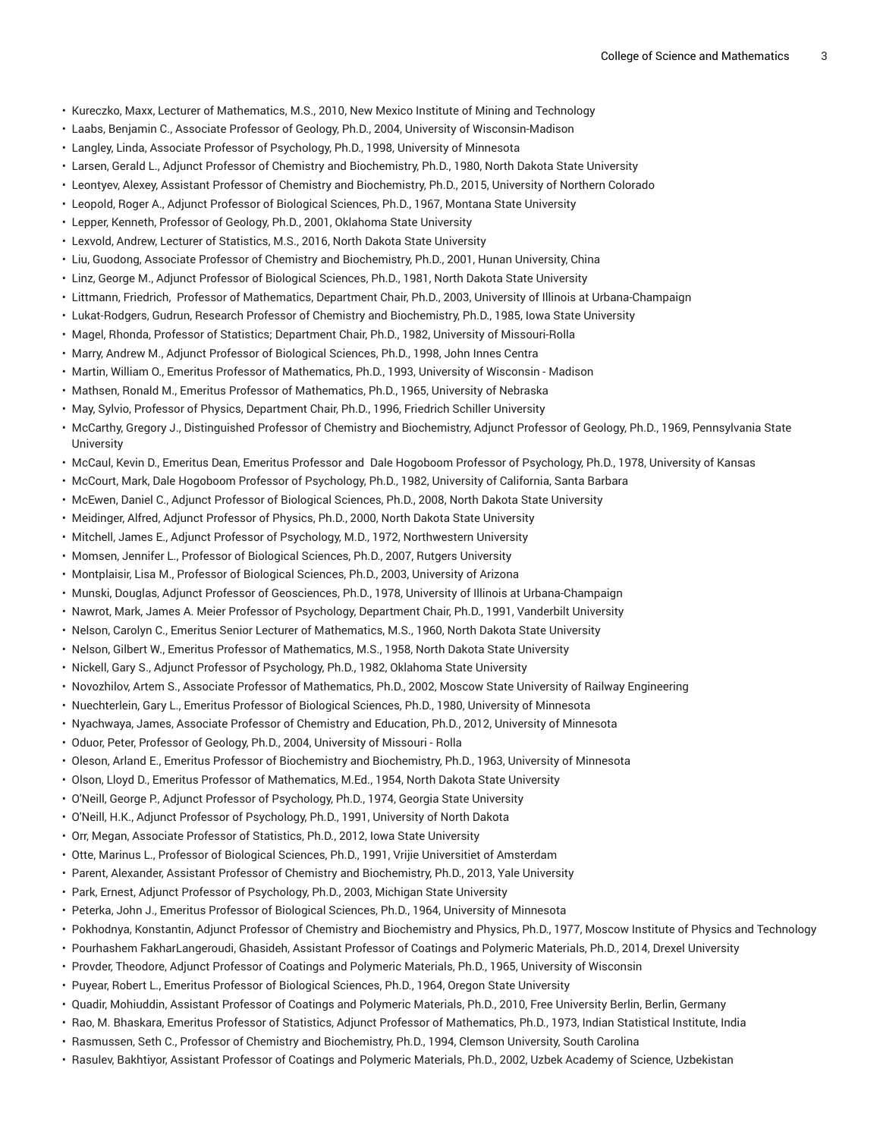- Kureczko, Maxx, Lecturer of Mathematics, M.S., 2010, New Mexico Institute of Mining and Technology
- Laabs, Benjamin C., Associate Professor of Geology, Ph.D., 2004, University of Wisconsin-Madison
- Langley, Linda, Associate Professor of Psychology, Ph.D., 1998, University of Minnesota
- Larsen, Gerald L., Adjunct Professor of Chemistry and Biochemistry, Ph.D., 1980, North Dakota State University
- Leontyev, Alexey, Assistant Professor of Chemistry and Biochemistry, Ph.D., 2015, University of Northern Colorado
- Leopold, Roger A., Adjunct Professor of Biological Sciences, Ph.D., 1967, Montana State University
- Lepper, Kenneth, Professor of Geology, Ph.D., 2001, Oklahoma State University
- Lexvold, Andrew, Lecturer of Statistics, M.S., 2016, North Dakota State University
- Liu, Guodong, Associate Professor of Chemistry and Biochemistry, Ph.D., 2001, Hunan University, China
- Linz, George M., Adjunct Professor of Biological Sciences, Ph.D., 1981, North Dakota State University
- Littmann, Friedrich, Professor of Mathematics, Department Chair, Ph.D., 2003, University of Illinois at Urbana-Champaign
- Lukat-Rodgers, Gudrun, Research Professor of Chemistry and Biochemistry, Ph.D., 1985, Iowa State University
- Magel, Rhonda, Professor of Statistics; Department Chair, Ph.D., 1982, University of Missouri-Rolla
- Marry, Andrew M., Adjunct Professor of Biological Sciences, Ph.D., 1998, John Innes Centra
- Martin, William O., Emeritus Professor of Mathematics, Ph.D., 1993, University of Wisconsin Madison
- Mathsen, Ronald M., Emeritus Professor of Mathematics, Ph.D., 1965, University of Nebraska
- May, Sylvio, Professor of Physics, Department Chair, Ph.D., 1996, Friedrich Schiller University
- McCarthy, Gregory J., Distinguished Professor of Chemistry and Biochemistry, Adjunct Professor of Geology, Ph.D., 1969, Pennsylvania State **University**
- McCaul, Kevin D., Emeritus Dean, Emeritus Professor and Dale Hogoboom Professor of Psychology, Ph.D., 1978, University of Kansas
- McCourt, Mark, Dale Hogoboom Professor of Psychology, Ph.D., 1982, University of California, Santa Barbara
- McEwen, Daniel C., Adjunct Professor of Biological Sciences, Ph.D., 2008, North Dakota State University
- Meidinger, Alfred, Adjunct Professor of Physics, Ph.D., 2000, North Dakota State University
- Mitchell, James E., Adjunct Professor of Psychology, M.D., 1972, Northwestern University
- Momsen, Jennifer L., Professor of Biological Sciences, Ph.D., 2007, Rutgers University
- Montplaisir, Lisa M., Professor of Biological Sciences, Ph.D., 2003, University of Arizona
- Munski, Douglas, Adjunct Professor of Geosciences, Ph.D., 1978, University of Illinois at Urbana-Champaign
- Nawrot, Mark, James A. Meier Professor of Psychology, Department Chair, Ph.D., 1991, Vanderbilt University
- Nelson, Carolyn C., Emeritus Senior Lecturer of Mathematics, M.S., 1960, North Dakota State University
- Nelson, Gilbert W., Emeritus Professor of Mathematics, M.S., 1958, North Dakota State University
- Nickell, Gary S., Adjunct Professor of Psychology, Ph.D., 1982, Oklahoma State University
- Novozhilov, Artem S., Associate Professor of Mathematics, Ph.D., 2002, Moscow State University of Railway Engineering
- Nuechterlein, Gary L., Emeritus Professor of Biological Sciences, Ph.D., 1980, University of Minnesota
- Nyachwaya, James, Associate Professor of Chemistry and Education, Ph.D., 2012, University of Minnesota
- Oduor, Peter, Professor of Geology, Ph.D., 2004, University of Missouri Rolla
- Oleson, Arland E., Emeritus Professor of Biochemistry and Biochemistry, Ph.D., 1963, University of Minnesota
- Olson, Lloyd D., Emeritus Professor of Mathematics, M.Ed., 1954, North Dakota State University
- O'Neill, George P., Adjunct Professor of Psychology, Ph.D., 1974, Georgia State University
- O'Neill, H.K., Adjunct Professor of Psychology, Ph.D., 1991, University of North Dakota
- Orr, Megan, Associate Professor of Statistics, Ph.D., 2012, Iowa State University
- Otte, Marinus L., Professor of Biological Sciences, Ph.D., 1991, Vrijie Universitiet of Amsterdam
- Parent, Alexander, Assistant Professor of Chemistry and Biochemistry, Ph.D., 2013, Yale University
- Park, Ernest, Adjunct Professor of Psychology, Ph.D., 2003, Michigan State University
- Peterka, John J., Emeritus Professor of Biological Sciences, Ph.D., 1964, University of Minnesota
- Pokhodnya, Konstantin, Adjunct Professor of Chemistry and Biochemistry and Physics, Ph.D., 1977, Moscow Institute of Physics and Technology
- Pourhashem FakharLangeroudi, Ghasideh, Assistant Professor of Coatings and Polymeric Materials, Ph.D., 2014, Drexel University
- Provder, Theodore, Adjunct Professor of Coatings and Polymeric Materials, Ph.D., 1965, University of Wisconsin
- Puyear, Robert L., Emeritus Professor of Biological Sciences, Ph.D., 1964, Oregon State University
- Quadir, Mohiuddin, Assistant Professor of Coatings and Polymeric Materials, Ph.D., 2010, Free University Berlin, Berlin, Germany
- Rao, M. Bhaskara, Emeritus Professor of Statistics, Adjunct Professor of Mathematics, Ph.D., 1973, Indian Statistical Institute, India
- Rasmussen, Seth C., Professor of Chemistry and Biochemistry, Ph.D., 1994, Clemson University, South Carolina
- Rasulev, Bakhtiyor, Assistant Professor of Coatings and Polymeric Materials, Ph.D., 2002, Uzbek Academy of Science, Uzbekistan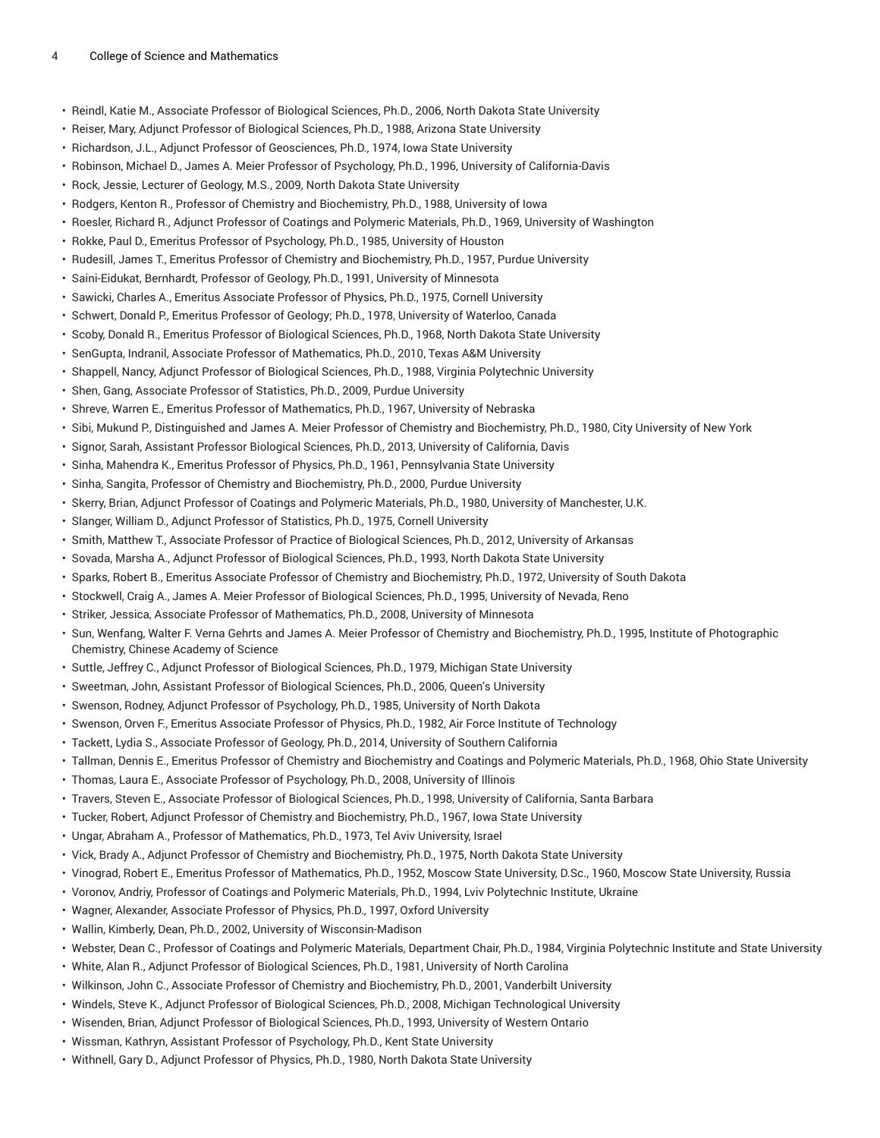- Reindl, Katie M., Associate Professor of Biological Sciences, Ph.D., 2006, North Dakota State University
- Reiser, Mary, Adjunct Professor of Biological Sciences, Ph.D., 1988, Arizona State University
- Richardson, J.L., Adjunct Professor of Geosciences, Ph.D., 1974, Iowa State University
- Robinson, Michael D., James A. Meier Professor of Psychology, Ph.D., 1996, University of California-Davis
- Rock, Jessie, Lecturer of Geology, M.S., 2009, North Dakota State University
- Rodgers, Kenton R., Professor of Chemistry and Biochemistry, Ph.D., 1988, University of Iowa
- Roesler, Richard R., Adjunct Professor of Coatings and Polymeric Materials, Ph.D., 1969, University of Washington
- Rokke, Paul D., Emeritus Professor of Psychology, Ph.D., 1985, University of Houston
- Rudesill, James T., Emeritus Professor of Chemistry and Biochemistry, Ph.D., 1957, Purdue University
- Saini-Eidukat, Bernhardt, Professor of Geology, Ph.D., 1991, University of Minnesota
- Sawicki, Charles A., Emeritus Associate Professor of Physics, Ph.D., 1975, Cornell University
- Schwert, Donald P., Emeritus Professor of Geology; Ph.D., 1978, University of Waterloo, Canada
- Scoby, Donald R., Emeritus Professor of Biological Sciences, Ph.D., 1968, North Dakota State University
- SenGupta, Indranil, Associate Professor of Mathematics, Ph.D., 2010, Texas A&M University
- Shappell, Nancy, Adjunct Professor of Biological Sciences, Ph.D., 1988, Virginia Polytechnic University
- Shen, Gang, Associate Professor of Statistics, Ph.D., 2009, Purdue University
- Shreve, Warren E., Emeritus Professor of Mathematics, Ph.D., 1967, University of Nebraska
- Sibi, Mukund P., Distinguished and James A. Meier Professor of Chemistry and Biochemistry, Ph.D., 1980, City University of New York
- Signor, Sarah, Assistant Professor Biological Sciences, Ph.D., 2013, University of California, Davis
- Sinha, Mahendra K., Emeritus Professor of Physics, Ph.D., 1961, Pennsylvania State University
- Sinha, Sangita, Professor of Chemistry and Biochemistry, Ph.D., 2000, Purdue University
- Skerry, Brian, Adjunct Professor of Coatings and Polymeric Materials, Ph.D., 1980, University of Manchester, U.K.
- Slanger, William D., Adjunct Professor of Statistics, Ph.D., 1975, Cornell University
- Smith, Matthew T., Associate Professor of Practice of Biological Sciences, Ph.D., 2012, University of Arkansas
- Sovada, Marsha A., Adjunct Professor of Biological Sciences, Ph.D., 1993, North Dakota State University
- Sparks, Robert B., Emeritus Associate Professor of Chemistry and Biochemistry, Ph.D., 1972, University of South Dakota
- Stockwell, Craig A., James A. Meier Professor of Biological Sciences, Ph.D., 1995, University of Nevada, Reno
- Striker, Jessica, Associate Professor of Mathematics, Ph.D., 2008, University of Minnesota
- Sun, Wenfang, Walter F. Verna Gehrts and James A. Meier Professor of Chemistry and Biochemistry, Ph.D., 1995, Institute of Photographic Chemistry, Chinese Academy of Science
- Suttle, Jeffrey C., Adjunct Professor of Biological Sciences, Ph.D., 1979, Michigan State University
- Sweetman, John, Assistant Professor of Biological Sciences, Ph.D., 2006, Queen's University
- Swenson, Rodney, Adjunct Professor of Psychology, Ph.D., 1985, University of North Dakota
- Swenson, Orven F., Emeritus Associate Professor of Physics, Ph.D., 1982, Air Force Institute of Technology
- Tackett, Lydia S., Associate Professor of Geology, Ph.D., 2014, University of Southern California
- Tallman, Dennis E., Emeritus Professor of Chemistry and Biochemistry and Coatings and Polymeric Materials, Ph.D., 1968, Ohio State University
- Thomas, Laura E., Associate Professor of Psychology, Ph.D., 2008, University of Illinois
- Travers, Steven E., Associate Professor of Biological Sciences, Ph.D., 1998, University of California, Santa Barbara
- Tucker, Robert, Adjunct Professor of Chemistry and Biochemistry, Ph.D., 1967, Iowa State University
- Ungar, Abraham A., Professor of Mathematics, Ph.D., 1973, Tel Aviv University, Israel
- Vick, Brady A., Adjunct Professor of Chemistry and Biochemistry, Ph.D., 1975, North Dakota State University
- Vinograd, Robert E., Emeritus Professor of Mathematics, Ph.D., 1952, Moscow State University, D.Sc., 1960, Moscow State University, Russia
- Voronov, Andriy, Professor of Coatings and Polymeric Materials, Ph.D., 1994, Lviv Polytechnic Institute, Ukraine
- Wagner, Alexander, Associate Professor of Physics, Ph.D., 1997, Oxford University
- Wallin, Kimberly, Dean, Ph.D., 2002, University of Wisconsin-Madison
- Webster, Dean C., Professor of Coatings and Polymeric Materials, Department Chair, Ph.D., 1984, Virginia Polytechnic Institute and State University
- White, Alan R., Adjunct Professor of Biological Sciences, Ph.D., 1981, University of North Carolina
- Wilkinson, John C., Associate Professor of Chemistry and Biochemistry, Ph.D., 2001, Vanderbilt University
- Windels, Steve K., Adjunct Professor of Biological Sciences, Ph.D., 2008, Michigan Technological University
- Wisenden, Brian, Adjunct Professor of Biological Sciences, Ph.D., 1993, University of Western Ontario
- Wissman, Kathryn, Assistant Professor of Psychology, Ph.D., Kent State University
- Withnell, Gary D., Adjunct Professor of Physics, Ph.D., 1980, North Dakota State University